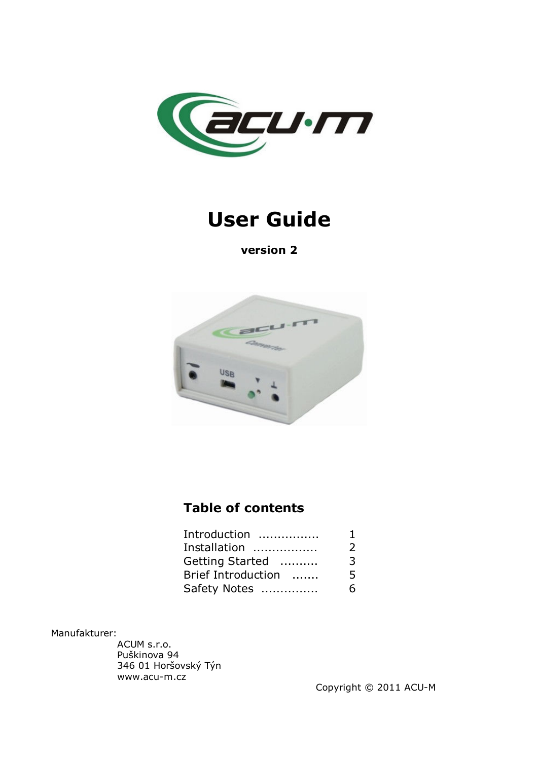

# **User Guide**

**version 2**



# **Table of contents**

| Introduction       | 1 |
|--------------------|---|
| Installation       | 2 |
| Getting Started    | 3 |
| Brief Introduction | 5 |
| Safety Notes       | 6 |

Manufakturer:

ACUM s.r.o. Puškinova 94 346 01 Horšovský Týn www.acu-m.cz

Copyright © 2011 ACU-M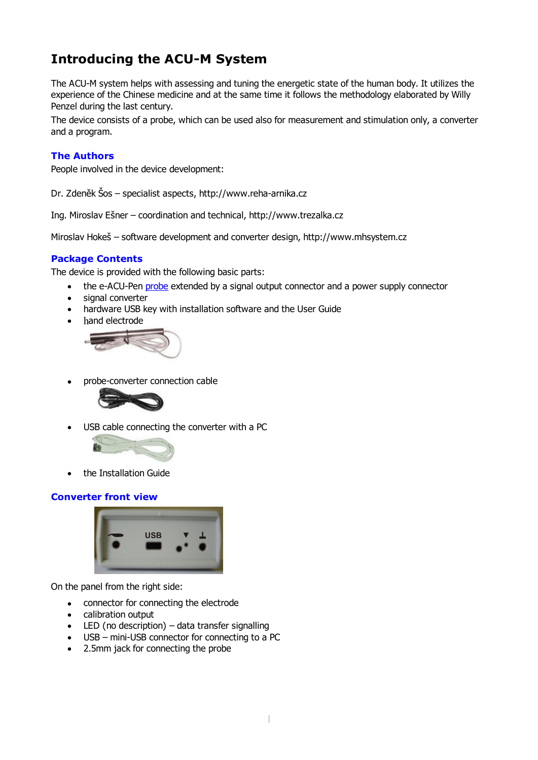# **Introducing the ACU-M System**

The ACU-M system helps with assessing and tuning the energetic state of the human body. It utilizes the experience of the Chinese medicine and at the same time it follows the methodology elaborated by Willy Penzel during the last century.

The device consists of a probe, which can be used also for measurement and stimulation only, a converter and a program.

#### **The Authors**

People involved in the device development:

Dr. Zdeněk Šos – specialist aspects, http://www.reha-arnika.cz

Ing. Miroslav Ešner – coordination and technical, http://www.trezalka.cz

Miroslav Hokeš – software development and converter design, http://www.mhsystem.cz

#### **Package Contents**

The device is provided with the following basic parts:

- the e-ACU-Pen probe extended by a signal output connector and a power supply connector
- signal converter
- hardware USB key with installation software and the User Guide
- hand electrode



• probe-converter connection cable



USB cable connecting the converter with a PC



• the Installation Guide

#### **Converter front view**



On the panel from the right side:

- connector for connecting the electrode
- calibration output
- $\bullet$  LED (no description) data transfer signalling
- USB mini-USB connector for connecting to a PC
- 2.5mm jack for connecting the probe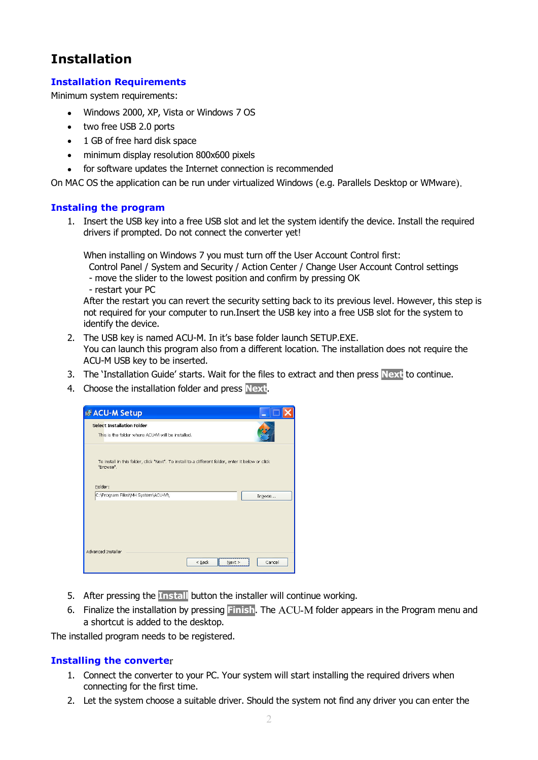## **Installation**

#### **Installation Requirements**

Minimum system requirements:

- Windows 2000, XP, Vista or Windows 7 OS
- two free USB 2.0 ports
- 1 GB of free hard disk space
- minimum display resolution 800x600 pixels
- for software updates the Internet connection is recommended

On MAC OS the application can be run under virtualized Windows (e.g. Parallels Desktop or WMware).

#### **Instaling the program**

1. Insert the USB key into a free USB slot and let the system identify the device. Install the required drivers if prompted. Do not connect the converter yet!

When installing on Windows 7 you must turn off the User Account Control first:

Control Panel / System and Security / Action Center / Change User Account Control settings

- move the slider to the lowest position and confirm by pressing OK

- restart your PC

After the restart you can revert the security setting back to its previous level. However, this step is not required for your computer to run.Insert the USB key into a free USB slot for the system to identify the device.

- 2. The USB key is named ACU-M. In it's base folder launch SETUP.EXE. You can launch this program also from a different location. The installation does not require the ACU-M USB key to be inserted.
- 3. The 'Installation Guide' starts. Wait for the files to extract and then press **Next** to continue.
- 4. Choose the installation folder and press **Next**.



- 5. After pressing the **Install** button the installer will continue working.
- 6. Finalize the installation by pressing **Finish**. The ACU-M folder appears in the Program menu and a shortcut is added to the desktop.

The installed program needs to be registered.

#### **Installing the converte**r

- 1. Connect the converter to your PC. Your system will start installing the required drivers when connecting for the first time.
- 2. Let the system choose a suitable driver. Should the system not find any driver you can enter the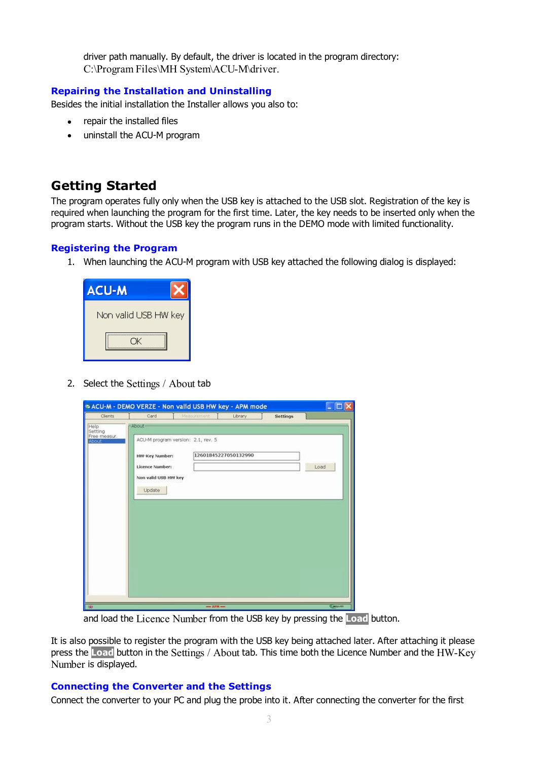driver path manually. By default, the driver is located in the program directory: C:\Program Files\MH System\ACU-M\driver.

#### **Repairing the Installation and Uninstalling**

Besides the initial installation the Installer allows you also to:

- repair the installed files
- uninstall the ACU-M program

### **Getting Started**

The program operates fully only when the USB key is attached to the USB slot. Registration of the key is required when launching the program for the first time. Later, the key needs to be inserted only when the program starts. Without the USB key the program runs in the DEMO mode with limited functionality.

#### **Registering the Program**

1. When launching the ACU-M program with USB key attached the following dialog is displayed:



2. Select the Settings / About tab

| Clients                                 | Card                                                                | Measurement                        | Library              | <b>Settings</b> |      |
|-----------------------------------------|---------------------------------------------------------------------|------------------------------------|----------------------|-----------------|------|
| Help                                    | -About-                                                             |                                    |                      |                 |      |
| Setting<br>Free measur.<br><b>About</b> | HW-Key Number:<br>Licence Number:<br>Non valid USB HW key<br>Update | ACU-M program version: 2.1, rev. 5 | 12601845227050132990 |                 | Load |
|                                         |                                                                     |                                    |                      |                 |      |

and load the Licence Number from the USB key by pressing the **Load** button.

It is also possible to register the program with the USB key being attached later. After attaching it please press the **Load** button in the Settings / About tab. This time both the Licence Number and the HW-Key Number is displayed.

#### **Connecting the Converter and the Settings**

Connect the converter to your PC and plug the probe into it. After connecting the converter for the first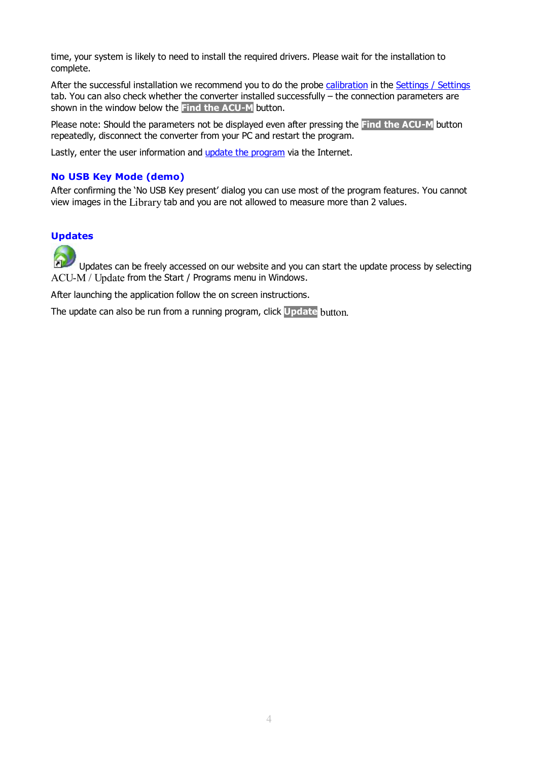time, your system is likely to need to install the required drivers. Please wait for the installation to complete.

After the successful installation we recommend you to do the probe calibration in the Settings / Settings tab. You can also check whether the converter installed successfully – the connection parameters are shown in the window below the **Find the ACU-M** button.

Please note: Should the parameters not be displayed even after pressing the **Find the ACU-M** button repeatedly, disconnect the converter from your PC and restart the program.

Lastly, enter the user information and update the program via the Internet.

#### **No USB Key Mode (demo)**

After confirming the 'No USB Key present' dialog you can use most of the program features. You cannot view images in the Library tab and you are not allowed to measure more than 2 values.

#### **Updates**

Updates can be freely accessed on our website and you can start the update process by selecting ACU-M / Update from the Start / Programs menu in Windows.

After launching the application follow the on screen instructions.

The update can also be run from a running program, click **Update** button.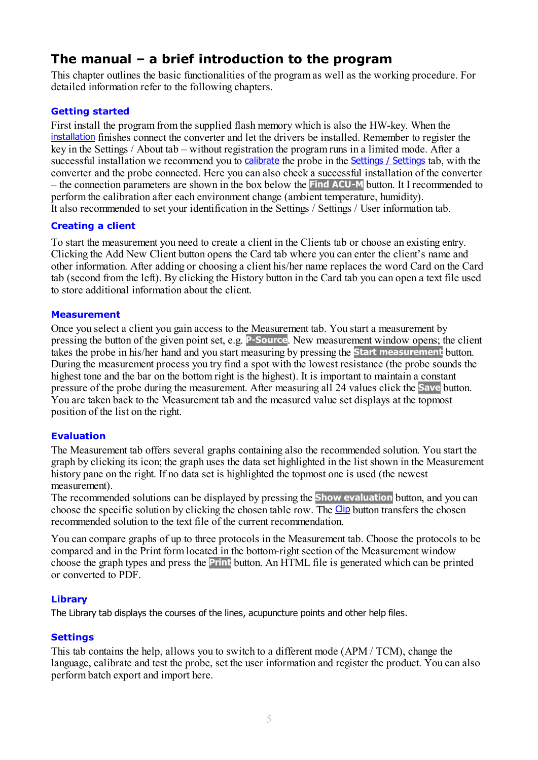### **The manual – a brief introduction to the program**

This chapter outlines the basic functionalities of the program as well as the working procedure. For detailed information refer to the following chapters.

#### **Getting started**

First install the program from the supplied flash memory which is also the HW-key. When the installation finishes connect the converter and let the drivers be installed. Remember to register the key in the Settings / About tab – without registration the program runs in a limited mode. After a successful installation we recommend you to calibrate the probe in the **Settings / Settings** tab, with the converter and the probe connected. Here you can also check a successful installation of the converter – the connection parameters are shown in the box below the **Find ACU-M** button. It I recommended to perform the calibration after each environment change (ambient temperature, humidity). It also recommended to set your identification in the Settings / Settings / User information tab.

#### **Creating a client**

To start the measurement you need to create a client in the Clients tab or choose an existing entry. Clicking the Add New Client button opens the Card tab where you can enter the client's name and other information. After adding or choosing a client his/her name replaces the word Card on the Card tab (second from the left). By clicking the History button in the Card tab you can open a text file used to store additional information about the client.

#### **Measurement**

Once you select a client you gain access to the Measurement tab. You start a measurement by pressing the button of the given point set, e.g. **P-Source**. New measurement window opens; the client takes the probe in his/her hand and you start measuring by pressing the **Start measurement** button. During the measurement process you try find a spot with the lowest resistance (the probe sounds the highest tone and the bar on the bottom right is the highest). It is important to maintain a constant pressure of the probe during the measurement. After measuring all 24 values click the **Save** button. You are taken back to the Measurement tab and the measured value set displays at the topmost position of the list on the right.

#### **Evaluation**

The Measurement tab offers several graphs containing also the recommended solution. You start the graph by clicking its icon; the graph uses the data set highlighted in the list shown in the Measurement history pane on the right. If no data set is highlighted the topmost one is used (the newest measurement).

The recommended solutions can be displayed by pressing the **Show evaluation** button, and you can choose the specific solution by clicking the chosen table row. The Clip button transfers the chosen recommended solution to the text file of the current recommendation.

You can compare graphs of up to three protocols in the Measurement tab. Choose the protocols to be compared and in the Print form located in the bottom-right section of the Measurement window choose the graph types and press the **Print** button. An HTML file is generated which can be printed or converted to PDF.

#### **Library**

The Library tab displays the courses of the lines, acupuncture points and other help files.

#### **Settings**

This tab contains the help, allows you to switch to a different mode (APM / TCM), change the language, calibrate and test the probe, set the user information and register the product. You can also perform batch export and import here.